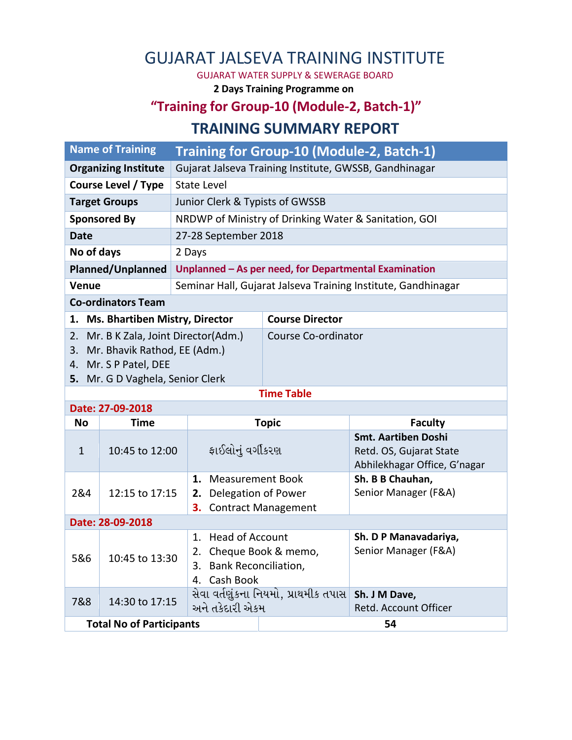## GUJARAT JALSEVA TRAINING INSTITUTE

GUJARAT WATER SUPPLY & SEWERAGE BOARD

**2 Days Training Programme on**

## **"Training for Group-10 (Module-2, Batch-1)" TRAINING SUMMARY REPORT**

| <b>Name of Training</b>                                                                                    |                                                        | Training for Group-10 (Module-2, Batch-1)                     |  |  |
|------------------------------------------------------------------------------------------------------------|--------------------------------------------------------|---------------------------------------------------------------|--|--|
| <b>Organizing Institute</b>                                                                                | Gujarat Jalseva Training Institute, GWSSB, Gandhinagar |                                                               |  |  |
| Course Level / Type                                                                                        | State Level                                            |                                                               |  |  |
| <b>Target Groups</b>                                                                                       | Junior Clerk & Typists of GWSSB                        |                                                               |  |  |
| <b>Sponsored By</b>                                                                                        |                                                        | NRDWP of Ministry of Drinking Water & Sanitation, GOI         |  |  |
| 27-28 September 2018<br>Date                                                                               |                                                        |                                                               |  |  |
| No of days<br>2 Days                                                                                       |                                                        |                                                               |  |  |
| Planned/Unplanned                                                                                          |                                                        | Unplanned – As per need, for Departmental Examination         |  |  |
| <b>Venue</b>                                                                                               |                                                        | Seminar Hall, Gujarat Jalseva Training Institute, Gandhinagar |  |  |
| <b>Co-ordinators Team</b>                                                                                  |                                                        |                                                               |  |  |
| 1. Ms. Bhartiben Mistry, Director                                                                          |                                                        | <b>Course Director</b>                                        |  |  |
| Mr. B K Zala, Joint Director(Adm.)<br>2.<br>Mr. Bhavik Rathod, EE (Adm.)<br>3.<br>Mr. S P Patel, DEE<br>4. |                                                        | Course Co-ordinator                                           |  |  |
| 5. Mr. G D Vaghela, Senior Clerk                                                                           |                                                        |                                                               |  |  |
| <b>Time Table</b>                                                                                          |                                                        |                                                               |  |  |
| Date: 27-09-2018                                                                                           |                                                        |                                                               |  |  |

| Date: 27-09-2018 |                                       |                                                                                                                   |                                                                                       |  |  |
|------------------|---------------------------------------|-------------------------------------------------------------------------------------------------------------------|---------------------------------------------------------------------------------------|--|--|
| No               | Time                                  | <b>Topic</b>                                                                                                      | <b>Faculty</b>                                                                        |  |  |
| $\mathbf{1}$     | 10:45 to 12:00                        | ફાઈલોનું વર્ગીકરણ                                                                                                 | <b>Smt. Aartiben Doshi</b><br>Retd. OS, Gujarat State<br>Abhilekhagar Office, G'nagar |  |  |
| 2&4              | 12:15 to 17:15                        | Measurement Book<br>1.<br>Delegation of Power<br>2.<br><b>Contract Management</b><br>3.                           | Sh. B B Chauhan,<br>Senior Manager (F&A)                                              |  |  |
|                  | Date: 28-09-2018                      |                                                                                                                   |                                                                                       |  |  |
| 5&6              | 10:45 to 13:30                        | <b>Head of Account</b><br>1.<br>Cheque Book & memo,<br>2.<br><b>Bank Reconciliation,</b><br>3.<br>Cash Book<br>4. | Sh. D P Manavadariya,<br>Senior Manager (F&A)                                         |  |  |
| 7&8              | 14:30 to 17:15                        | સેવા વર્તણુંકના નિયમો, પ્રાથમીક તપાસ<br>અને તકેદારી એકમ                                                           | Sh. J M Dave,<br>Retd. Account Officer                                                |  |  |
|                  | <b>Total No of Participants</b><br>54 |                                                                                                                   |                                                                                       |  |  |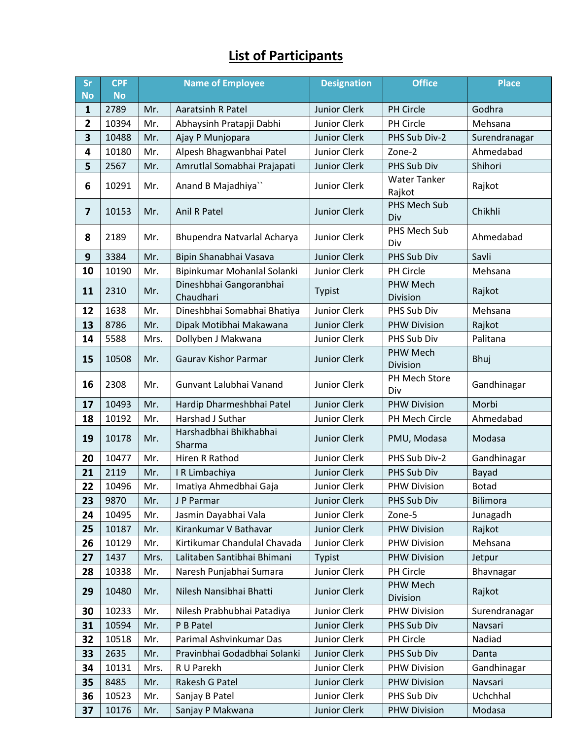## **List of Participants**

| <b>Sr</b>               | <b>CPF</b> | <b>Name of Employee</b> |                                      | <b>Designation</b>  | <b>Office</b>                 | <b>Place</b>    |
|-------------------------|------------|-------------------------|--------------------------------------|---------------------|-------------------------------|-----------------|
| <b>No</b>               | <b>No</b>  |                         |                                      |                     |                               |                 |
| $\mathbf{1}$            | 2789       | Mr.                     | <b>Aaratsinh R Patel</b>             | <b>Junior Clerk</b> | PH Circle                     | Godhra          |
| $\overline{2}$          | 10394      | Mr.                     | Abhaysinh Pratapji Dabhi             | <b>Junior Clerk</b> | PH Circle                     | Mehsana         |
| 3                       | 10488      | Mr.                     | Ajay P Munjopara                     | <b>Junior Clerk</b> | PHS Sub Div-2                 | Surendranagar   |
| 4                       | 10180      | Mr.                     | Alpesh Bhagwanbhai Patel             | Junior Clerk        | Zone-2                        | Ahmedabad       |
| 5                       | 2567       | Mr.                     | Amrutlal Somabhai Prajapati          | <b>Junior Clerk</b> | PHS Sub Div                   | Shihori         |
| 6                       | 10291      | Mr.                     | Anand B Majadhiya"                   | Junior Clerk        | <b>Water Tanker</b><br>Rajkot | Rajkot          |
| $\overline{\mathbf{z}}$ | 10153      | Mr.                     | <b>Anil R Patel</b>                  | <b>Junior Clerk</b> | PHS Mech Sub<br>Div           | Chikhli         |
| 8                       | 2189       | Mr.                     | Bhupendra Natvarlal Acharya          | Junior Clerk        | PHS Mech Sub<br>Div           | Ahmedabad       |
| 9                       | 3384       | Mr.                     | Bipin Shanabhai Vasava               | <b>Junior Clerk</b> | PHS Sub Div                   | Savli           |
| 10                      | 10190      | Mr.                     | Bipinkumar Mohanlal Solanki          | Junior Clerk        | PH Circle                     | Mehsana         |
| 11                      | 2310       | Mr.                     | Dineshbhai Gangoranbhai<br>Chaudhari | Typist              | PHW Mech<br>Division          | Rajkot          |
| 12                      | 1638       | Mr.                     | Dineshbhai Somabhai Bhatiya          | <b>Junior Clerk</b> | PHS Sub Div                   | Mehsana         |
| 13                      | 8786       | Mr.                     | Dipak Motibhai Makawana              | <b>Junior Clerk</b> | <b>PHW Division</b>           | Rajkot          |
| 14                      | 5588       | Mrs.                    | Dollyben J Makwana                   | Junior Clerk        | PHS Sub Div                   | Palitana        |
| 15                      | 10508      | Mr.                     | <b>Gaurav Kishor Parmar</b>          | <b>Junior Clerk</b> | PHW Mech<br>Division          | Bhuj            |
| 16                      | 2308       | Mr.                     | Gunvant Lalubhai Vanand              | Junior Clerk        | PH Mech Store<br>Div          | Gandhinagar     |
| 17                      | 10493      | Mr.                     | Hardip Dharmeshbhai Patel            | <b>Junior Clerk</b> | <b>PHW Division</b>           | Morbi           |
| 18                      | 10192      | Mr.                     | Harshad J Suthar                     | Junior Clerk        | PH Mech Circle                | Ahmedabad       |
| 19                      | 10178      | Mr.                     | Harshadbhai Bhikhabhai<br>Sharma     | Junior Clerk        | PMU, Modasa                   | Modasa          |
| 20                      | 10477      | Mr.                     | Hiren R Rathod                       | Junior Clerk        | PHS Sub Div-2                 | Gandhinagar     |
| 21                      | 2119       | Mr.                     | IR Limbachiya                        | <b>Junior Clerk</b> | PHS Sub Div                   | Bayad           |
| 22                      | 10496      | Mr.                     | Imatiya Ahmedbhai Gaja               | Junior Clerk        | <b>PHW Division</b>           | <b>Botad</b>    |
| 23                      | 9870       | Mr.                     | J P Parmar                           | <b>Junior Clerk</b> | PHS Sub Div                   | <b>Bilimora</b> |
| 24                      | 10495      | Mr.                     | Jasmin Dayabhai Vala                 | Junior Clerk        | Zone-5                        | Junagadh        |
| 25                      | 10187      | Mr.                     | Kirankumar V Bathavar                | <b>Junior Clerk</b> | <b>PHW Division</b>           | Rajkot          |
| 26                      | 10129      | Mr.                     | Kirtikumar Chandulal Chavada         | Junior Clerk        | <b>PHW Division</b>           | Mehsana         |
| 27                      | 1437       | Mrs.                    | Lalitaben Santibhai Bhimani          | Typist              | <b>PHW Division</b>           | Jetpur          |
| 28                      | 10338      | Mr.                     | Naresh Punjabhai Sumara              | Junior Clerk        | PH Circle                     | Bhavnagar       |
| 29                      | 10480      | Mr.                     | Nilesh Nansibhai Bhatti              | Junior Clerk        | PHW Mech<br>Division          | Rajkot          |
| 30                      | 10233      | Mr.                     | Nilesh Prabhubhai Patadiya           | Junior Clerk        | <b>PHW Division</b>           | Surendranagar   |
| 31                      | 10594      | Mr.                     | P B Patel                            | <b>Junior Clerk</b> | PHS Sub Div                   | Navsari         |
| 32                      | 10518      | Mr.                     | Parimal Ashvinkumar Das              | Junior Clerk        | PH Circle                     | Nadiad          |
| 33                      | 2635       | Mr.                     | Pravinbhai Godadbhai Solanki         | Junior Clerk        | PHS Sub Div                   | Danta           |
| 34                      | 10131      | Mrs.                    | R U Parekh                           | <b>Junior Clerk</b> | <b>PHW Division</b>           | Gandhinagar     |
| 35                      | 8485       | Mr.                     | Rakesh G Patel                       | <b>Junior Clerk</b> | <b>PHW Division</b>           | Navsari         |
| 36                      | 10523      | Mr.                     | Sanjay B Patel                       | Junior Clerk        | PHS Sub Div                   | Uchchhal        |
| 37                      | 10176      | Mr.                     | Sanjay P Makwana                     | Junior Clerk        | <b>PHW Division</b>           | Modasa          |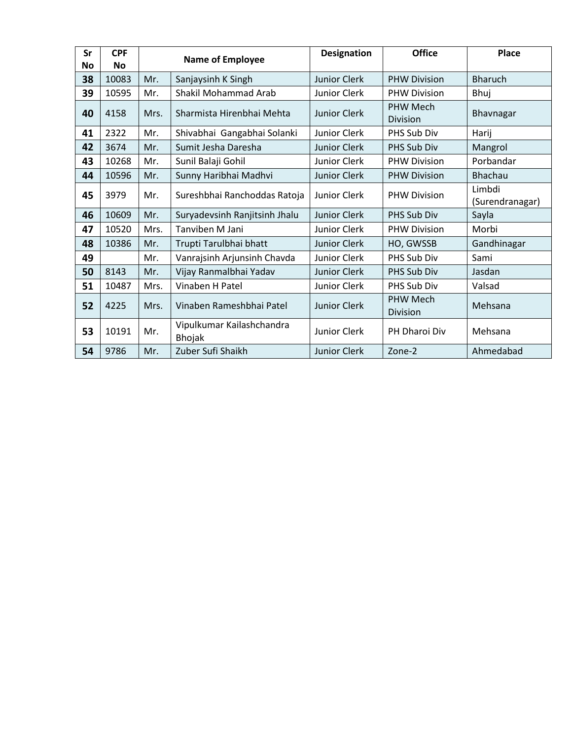| Sr | <b>CPF</b> | <b>Name of Employee</b> |                                            | <b>Designation</b>  | <b>Office</b>                      | <b>Place</b>              |
|----|------------|-------------------------|--------------------------------------------|---------------------|------------------------------------|---------------------------|
| No | <b>No</b>  |                         |                                            |                     |                                    |                           |
| 38 | 10083      | Mr.                     | Sanjaysinh K Singh                         | <b>Junior Clerk</b> | <b>PHW Division</b>                | <b>Bharuch</b>            |
| 39 | 10595      | Mr.                     | Shakil Mohammad Arab                       | Junior Clerk        | <b>PHW Division</b>                | Bhuj                      |
| 40 | 4158       | Mrs.                    | Sharmista Hirenbhai Mehta                  | <b>Junior Clerk</b> | <b>PHW Mech</b><br><b>Division</b> | Bhavnagar                 |
| 41 | 2322       | Mr.                     | Shivabhai Gangabhai Solanki                | Junior Clerk        | PHS Sub Div                        | Harij                     |
| 42 | 3674       | Mr.                     | Sumit Jesha Daresha                        | <b>Junior Clerk</b> | PHS Sub Div                        | Mangrol                   |
| 43 | 10268      | Mr.                     | Sunil Balaji Gohil                         | Junior Clerk        | <b>PHW Division</b>                | Porbandar                 |
| 44 | 10596      | Mr.                     | Sunny Haribhai Madhvi                      | <b>Junior Clerk</b> | <b>PHW Division</b>                | Bhachau                   |
| 45 | 3979       | Mr.                     | Sureshbhai Ranchoddas Ratoja               | <b>Junior Clerk</b> | <b>PHW Division</b>                | Limbdi<br>(Surendranagar) |
| 46 | 10609      | Mr.                     | Suryadevsinh Ranjitsinh Jhalu              | <b>Junior Clerk</b> | PHS Sub Div                        | Sayla                     |
| 47 | 10520      | Mrs.                    | Tanviben M Jani                            | <b>Junior Clerk</b> | <b>PHW Division</b>                | Morbi                     |
| 48 | 10386      | Mr.                     | Trupti Tarulbhai bhatt                     | <b>Junior Clerk</b> | HO, GWSSB                          | Gandhinagar               |
| 49 |            | Mr.                     | Vanrajsinh Arjunsinh Chavda                | <b>Junior Clerk</b> | PHS Sub Div                        | Sami                      |
| 50 | 8143       | Mr.                     | Vijay Ranmalbhai Yadav                     | Junior Clerk        | PHS Sub Div                        | Jasdan                    |
| 51 | 10487      | Mrs.                    | Vinaben H Patel                            | Junior Clerk        | PHS Sub Div                        | Valsad                    |
| 52 | 4225       | Mrs.                    | Vinaben Rameshbhai Patel                   | Junior Clerk        | <b>PHW Mech</b><br><b>Division</b> | Mehsana                   |
| 53 | 10191      | Mr.                     | Vipulkumar Kailashchandra<br><b>Bhojak</b> | Junior Clerk        | PH Dharoi Div                      | Mehsana                   |
| 54 | 9786       | Mr.                     | Zuber Sufi Shaikh                          | Junior Clerk        | Zone-2                             | Ahmedabad                 |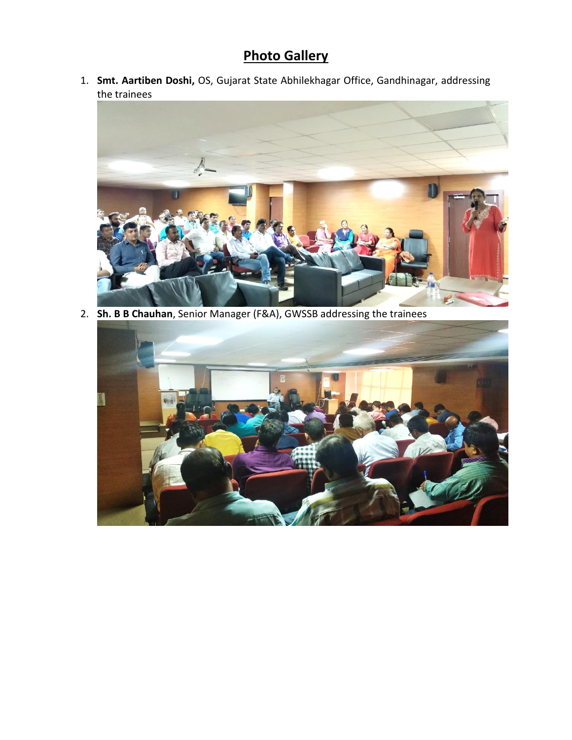## **Photo Gallery**

1. **Smt. Aartiben Doshi,** OS, Gujarat State Abhilekhagar Office, Gandhinagar, addressing the trainees



2. **Sh. B B Chauhan**, Senior Manager (F&A), GWSSB addressing the trainees